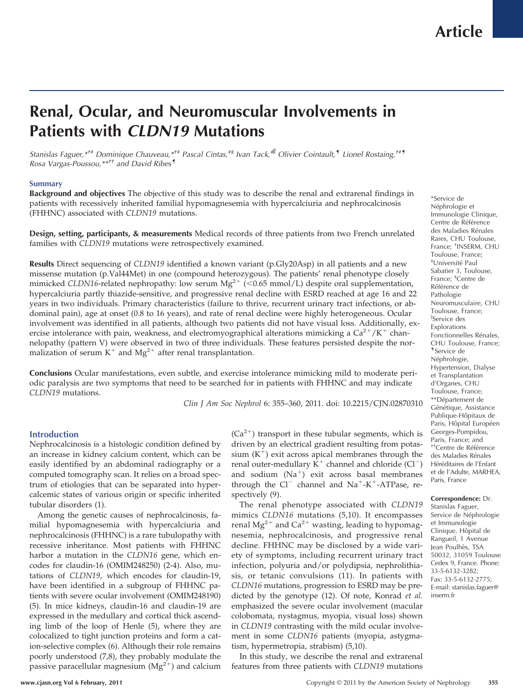# **Renal, Ocular, and Neuromuscular Involvements in Patients with** *CLDN19* **Mutations**

*Stanislas Faguer,\*†‡ Dominique Chauveau,\*†‡ Pascal Cintas,‡§ Ivan Tack,‡ Olivier Cointault,¶ Lionel Rostaing,†‡¶ Rosa Vargas-Poussou,\*\*†† and David Ribes¶*

## **Summary**

**Background and objectives** The objective of this study was to describe the renal and extrarenal findings in patients with recessively inherited familial hypomagnesemia with hypercalciuria and nephrocalcinosis (FHHNC) associated with *CLDN19* mutations.

**Design, setting, participants, & measurements** Medical records of three patients from two French unrelated families with *CLDN19* mutations were retrospectively examined.

**Results** Direct sequencing of *CLDN19* identified a known variant (p.Gly20Asp) in all patients and a new missense mutation (p.Val44Met) in one (compound heterozygous). The patients' renal phenotype closely mimicked CLDN16-related nephropathy: low serum Mg<sup>2+</sup> (<0.65 mmol/L) despite oral supplementation, hypercalciuria partly thiazide-sensitive, and progressive renal decline with ESRD reached at age 16 and 22 years in two individuals. Primary characteristics (failure to thrive, recurrent urinary tract infections, or abdominal pain), age at onset (0.8 to 16 years), and rate of renal decline were highly heterogeneous. Ocular involvement was identified in all patients, although two patients did not have visual loss. Additionally, exercise intolerance with pain, weakness, and electromyographical alterations mimicking a  $Ca^{2+}/K^+$  channelopathy (pattern V) were observed in two of three individuals. These features persisted despite the normalization of serum  $K^+$  and  $Mg^{2+}$  after renal transplantation.

**Conclusions** Ocular manifestations, even subtle, and exercise intolerance mimicking mild to moderate periodic paralysis are two symptoms that need to be searched for in patients with FHHNC and may indicate *CLDN19* mutations.

*Clin J Am Soc Nephrol* 6: 355–360, 2011. doi: 10.2215/CJN.02870310

## **Introduction**

Nephrocalcinosis is a histologic condition defined by an increase in kidney calcium content, which can be easily identified by an abdominal radiography or a computed tomography scan. It relies on a broad spectrum of etiologies that can be separated into hypercalcemic states of various origin or specific inherited tubular disorders (1).

Among the genetic causes of nephrocalcinosis, familial hypomagnesemia with hypercalciuria and nephrocalcinosis (FHHNC) is a rare tubulopathy with recessive inheritance. Most patients with FHHNC harbor a mutation in the *CLDN16* gene, which encodes for claudin-16 (OMIM248250) (2-4). Also, mutations of *CLDN19*, which encodes for claudin-19, have been identified in a subgroup of FHHNC patients with severe ocular involvement (OMIM248190) (5). In mice kidneys, claudin-16 and claudin-19 are expressed in the medullary and cortical thick ascending limb of the loop of Henle (5), where they are colocalized to tight junction proteins and form a cation-selective complex (6). Although their role remains poorly understood (7,8), they probably modulate the passive paracellular magnesium  $(Mg^{2+})$  and calcium  $(Ca^{2+})$  transport in these tubular segments, which is driven by an electrical gradient resulting from potassium  $(K^+)$  exit across apical membranes through the renal outer-medullary  $K^+$  channel and chloride (Cl<sup>-</sup>) and sodium  $(Na^+)$  exit across basal membranes through the  $Cl^-$  channel and  $Na^+$ -K<sup>+</sup>-ATPase, respectively  $(9)$ .

The renal phenotype associated with *CLDN19* mimics *CLDN16* mutations (5,10). It encompasses renal Mg<sup>2+</sup> and Ca<sup>2+</sup> wasting, leading to hypomagnesemia, nephrocalcinosis, and progressive renal decline. FHHNC may be disclosed by a wide variety of symptoms, including recurrent urinary tract infection, polyuria and/or polydipsia, nephrolithiasis, or tetanic convulsions (11). In patients with *CLDN16* mutations, progression to ESRD may be predicted by the genotype (12). Of note, Konrad *et al.* emphasized the severe ocular involvement (macular colobomata, nystagmus, myopia, visual loss) shown in *CLDN19* contrasting with the mild ocular involvement in some *CLDN16* patients (myopia, astygmatism, hypermetropia, strabism) (5,10).

In this study, we describe the renal and extrarenal features from three patients with *CLDN19* mutations

\*Service de Néphrologie et Immunologie Clinique, Centre de Référence des Maladies Rénales Rares, CHU Toulouse, France; † INSERM, CHU Toulouse, France; ‡ Universite´ Paul Sabatier 3, Toulouse, France; § Centre de Référence de Pathologie Neuromusculaire, CHU Toulouse, France; Service des Explorations Fonctionnelles Rénales, CHU Toulouse, France; ¶Service de Néphrologie, Hypertension, Dialyse et Transplantation d'Organes, CHU Toulouse, France; \*\*Département de Génétique, Assistance Publique-Hôpitaux de Paris, Hôpital Européen Georges-Pompidou, Paris, France; and <sup>++</sup>Centre de Référence des Maladies Rénales Héréditaires de l'Enfant et de l'Adulte, MARHEA, Paris, France

### **Correspondence:** Dr.

Stanislas Faguer, Service de Néphrologie et Immunologie Clinique, Hôpital de Rangueil, 1 Avenue Jean Poulhès, TSA 50032, 31059 Toulouse Cedex 9, France. Phone: 33-5-6132-3282; Fax: 33-5-6132-2775; E-mail: stanislas.faguer@ inserm.fr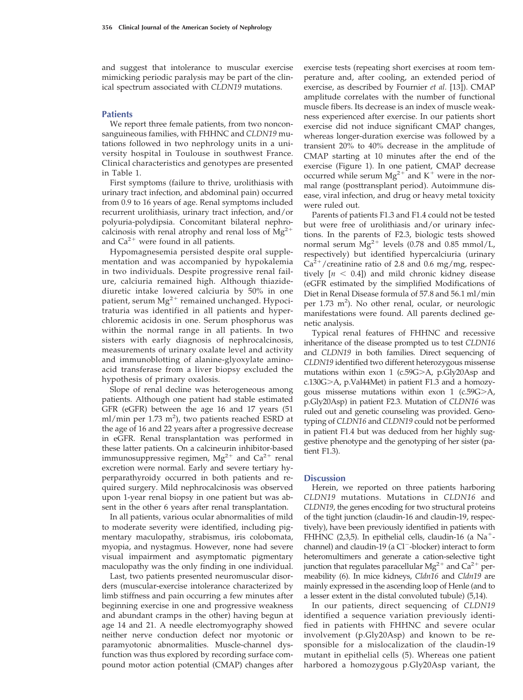and suggest that intolerance to muscular exercise mimicking periodic paralysis may be part of the clinical spectrum associated with *CLDN19* mutations.

## **Patients**

We report three female patients, from two nonconsanguineous families, with FHHNC and *CLDN19* mutations followed in two nephrology units in a university hospital in Toulouse in southwest France. Clinical characteristics and genotypes are presented in Table 1.

First symptoms (failure to thrive, urolithiasis with urinary tract infection, and abdominal pain) occurred from 0.9 to 16 years of age. Renal symptoms included recurrent urolithiasis, urinary tract infection, and/or polyuria-polydipsia. Concomitant bilateral nephrocalcinosis with renal atrophy and renal loss of  $Mg^{2+}$ and  $Ca^{2+}$  were found in all patients.

Hypomagnesemia persisted despite oral supplementation and was accompanied by hypokalemia in two individuals. Despite progressive renal failure, calciuria remained high. Although thiazidediuretic intake lowered calciuria by 50% in one patient, serum  $Mg^{2+}$  remained unchanged. Hypocitraturia was identified in all patients and hyperchloremic acidosis in one. Serum phosphorus was within the normal range in all patients. In two sisters with early diagnosis of nephrocalcinosis, measurements of urinary oxalate level and activity and immunoblotting of alanine-glyoxylate aminoacid transferase from a liver biopsy excluded the hypothesis of primary oxalosis.

Slope of renal decline was heterogeneous among patients. Although one patient had stable estimated GFR (eGFR) between the age 16 and 17 years (51 ml/min per 1.73 m<sup>2</sup>), two patients reached ESRD at the age of 16 and 22 years after a progressive decrease in eGFR. Renal transplantation was performed in these latter patients. On a calcineurin inhibitor-based immunosuppressive regimen,  $Mg^{2+}$  and  $Ca^{2+}$  renal excretion were normal. Early and severe tertiary hyperparathyroidy occurred in both patients and required surgery. Mild nephrocalcinosis was observed upon 1-year renal biopsy in one patient but was absent in the other 6 years after renal transplantation.

In all patients, various ocular abnormalities of mild to moderate severity were identified, including pigmentary maculopathy, strabismus, iris colobomata, myopia, and nystagmus. However, none had severe visual impairment and asymptomatic pigmentary maculopathy was the only finding in one individual.

Last, two patients presented neuromuscular disorders (muscular-exercise intolerance characterized by limb stiffness and pain occurring a few minutes after beginning exercise in one and progressive weakness and abundant cramps in the other) having begun at age 14 and 21. A needle electromyography showed neither nerve conduction defect nor myotonic or paramyotonic abnormalities. Muscle-channel dysfunction was thus explored by recording surface compound motor action potential (CMAP) changes after

exercise tests (repeating short exercises at room temperature and, after cooling, an extended period of exercise, as described by Fournier *et al.* [13]). CMAP amplitude correlates with the number of functional muscle fibers. Its decrease is an index of muscle weakness experienced after exercise. In our patients short exercise did not induce significant CMAP changes, whereas longer-duration exercise was followed by a transient 20% to 40% decrease in the amplitude of CMAP starting at 10 minutes after the end of the exercise (Figure 1). In one patient, CMAP decrease occurred while serum  $Mg^{2+}$  and K<sup>+</sup> were in the normal range (posttransplant period). Autoimmune disease, viral infection, and drug or heavy metal toxicity were ruled out.

Parents of patients F1.3 and F1.4 could not be tested but were free of urolithiasis and/or urinary infections. In the parents of F2.3, biologic tests showed normal serum  $Mg^{2+}$  levels (0.78 and 0.85 mmol/L, respectively) but identified hypercalciuria (urinary  $Ca^{2+}$ /creatinine ratio of 2.8 and 0.6 mg/mg, respectively  $[n < 0.4]$ ) and mild chronic kidney disease (eGFR estimated by the simplified Modifications of Diet in Renal Disease formula of 57.8 and 56.1 ml/min per 1.73 m<sup>2</sup>). No other renal, ocular, or neurologic manifestations were found. All parents declined genetic analysis.

Typical renal features of FHHNC and recessive inheritance of the disease prompted us to test *CLDN16* and *CLDN19* in both families. Direct sequencing of *CLDN19* identified two different heterozygous missense mutations within exon 1 (c.59G>A, p.Gly20Asp and  $c.130G>A$ , p.Val $44$ Met) in patient F1.3 and a homozygous missense mutations within exon  $1$  (c.59G $>$ A, p.Gly20Asp) in patient F2.3. Mutation of *CLDN16* was ruled out and genetic counseling was provided. Genotyping of *CLDN16* and *CLDN19* could not be performed in patient F1.4 but was deduced from her highly suggestive phenotype and the genotyping of her sister (patient F1.3).

## **Discussion**

Herein, we reported on three patients harboring *CLDN19* mutations. Mutations in *CLDN16* and *CLDN19*, the genes encoding for two structural proteins of the tight junction (claudin-16 and claudin-19, respectively), have been previously identified in patients with FHHNC (2,3,5). In epithelial cells, claudin-16 (a  $Na^+$ channel) and claudin-19 (a Cl<sup>-</sup>-blocker) interact to form heteromultimers and generate a cation-selective tight junction that regulates paracellular  $Mg^{2+}$  and  $Ca^{2+}$  permeability (6). In mice kidneys, *Cldn16* and *Cldn19* are mainly expressed in the ascending loop of Henle (and to a lesser extent in the distal convoluted tubule) (5,14).

In our patients, direct sequencing of *CLDN19* identified a sequence variation previously identified in patients with FHHNC and severe ocular involvement (p.Gly20Asp) and known to be responsible for a mislocalization of the claudin-19 mutant in epithelial cells (5). Whereas one patient harbored a homozygous p.Gly20Asp variant, the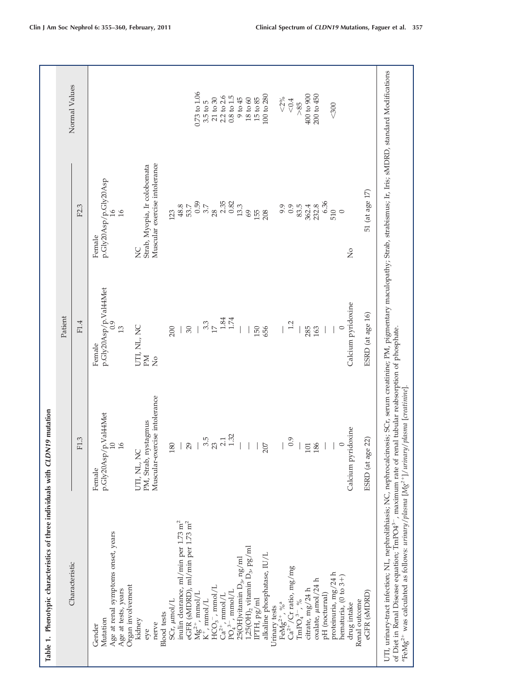| Table 1. Phenotypic characteristics of three individuals with CLDN19 mutation                                                                                                                                                                                                                                                                                                                                                                                                                                                                                                                                                                                                                                                                                                                                                                                                                                                                                                                                                 |                                                                                                                                                                                                                                                |                                                                                                                                                                                                                                                         |                                                                                                                                                                                                                                                                                                                                                          |                                                                                                                                                                                                                                            |
|-------------------------------------------------------------------------------------------------------------------------------------------------------------------------------------------------------------------------------------------------------------------------------------------------------------------------------------------------------------------------------------------------------------------------------------------------------------------------------------------------------------------------------------------------------------------------------------------------------------------------------------------------------------------------------------------------------------------------------------------------------------------------------------------------------------------------------------------------------------------------------------------------------------------------------------------------------------------------------------------------------------------------------|------------------------------------------------------------------------------------------------------------------------------------------------------------------------------------------------------------------------------------------------|---------------------------------------------------------------------------------------------------------------------------------------------------------------------------------------------------------------------------------------------------------|----------------------------------------------------------------------------------------------------------------------------------------------------------------------------------------------------------------------------------------------------------------------------------------------------------------------------------------------------------|--------------------------------------------------------------------------------------------------------------------------------------------------------------------------------------------------------------------------------------------|
| Characteristic                                                                                                                                                                                                                                                                                                                                                                                                                                                                                                                                                                                                                                                                                                                                                                                                                                                                                                                                                                                                                |                                                                                                                                                                                                                                                | Patient                                                                                                                                                                                                                                                 |                                                                                                                                                                                                                                                                                                                                                          | Normal Values                                                                                                                                                                                                                              |
|                                                                                                                                                                                                                                                                                                                                                                                                                                                                                                                                                                                                                                                                                                                                                                                                                                                                                                                                                                                                                               | F1.3                                                                                                                                                                                                                                           | F1.4                                                                                                                                                                                                                                                    | F2.3                                                                                                                                                                                                                                                                                                                                                     |                                                                                                                                                                                                                                            |
| UTI, urinary-tract infection; NL, nephrolithiasis; NC, nephrocalcinosis; SCr, serum creatinine; PM, pigmentary maculopathy; Strab, strabismus; Ir, Iris; sMDRD, standard Modifications<br>inulin clearance, ml/min per 1.73 m <sup>2</sup><br>eGFR (sMDRD), ml/min per 1.73 m <sup>2</sup><br>Age at renal symptoms onset, years<br>$1,25(OH)_2$ vitamin $D_3$ , $pg/ml$<br>alkaline phosphatase, IU/L<br>25(OH)vitamin $D_3$ , ng/ml<br>$\mathrm{Ca^{2+}/Cr}$ ratio, mg/mg<br>proteinuria, mg/24 h<br>hematuria, $(0 \text{ to } 3+)$<br>oxalate, µmol/24 h<br>Organ involvement<br>$HCO_3^-$ , mmol/L<br>Ca <sup>2+</sup> , mmol/L<br>Age at tests, years<br>citrate, mg/24 h<br>$PO_4^{3-}$ , mmol/L<br>eGFR (sMDRD)<br>$Mg^{2+}$ , mmol/L<br>pH (nocturnal)<br>$\text{IPTH,}\ \text{pg/ml}$<br>SCr, µmol/L<br>$K^+$ , mmol/L<br>$\mathrm{TmPO_{4}^{3-}},$ %<br>Renal outcome<br>FeMg <sup>2+</sup> , % <sup>a</sup><br>drug intake<br>Urinary tests<br><b>Blood</b> tests<br>Mutation<br>kidney<br>nerve<br>Gender<br>eye | Muscular-exercise intolerance<br>p.Gly20Asp/p.Val44Met<br>PM, Strab, nystagmus<br>pyridoxine<br>$2.1$<br>$1.32$<br>$\frac{3.5}{23}$<br>0.9<br>age $22$<br>29<br>180<br>207<br>186<br>16<br>101<br>UTI, NL, NC<br>Calcium<br>ESRD (at<br>Female | p.Gly20Asp/p.Val44Met $_{0.9}$<br>Calcium pyridoxine<br>ESRD (at age 16)<br>$\begin{array}{c} 1.84 \\ 1.74 \end{array}$<br>$3.3$ $17$<br>1.2<br>UTI, NL, NC<br>30<br>150<br>13<br>200<br>656<br>285<br>163<br>$\circ$<br>Female<br>Md<br>$\overline{N}$ | Muscular exercise intolerance<br>Strab, Myopia, Ir colobomata<br>p.Gly20Asp/p.Gly20Asp<br>51 (at age 17)<br>6.36<br>0.59<br>$2.35$<br>0.82<br>3.7<br>232.8<br>48.8<br>$53.7\,$<br>13.3<br>9.9<br>0.9<br>83.5<br>362.4<br>28<br>510<br>$\mathcal{C}$<br>155<br>$\circ$<br>$\frac{1}{6}$<br>123<br>208<br>Female<br>$\gtrsim$<br>$\mathsf{S}^{\mathsf{O}}$ | 0.73 to 1.06<br>400 to 900<br>200 to 450<br>100 to 280<br>2.2 to 2.6<br>$0.8\ {\rm to}\ 1.5$<br>$9$ to $45$<br>$15\,\mathrm{to}\,85$<br>${<}2\%$<br>$21$ to $30$<br>$18 \text{ to } 60$<br>$<\!0.4$<br>$3.5$ to $5$<br>>85<br>$<$ 300 $\,$ |
| of Diet in Renal Disease equation; TmPO4 <sup>3-</sup> , maximum rate of renal tubular reabsorption of phosphate.<br>"FeMg2+ was calculated as follows: urinary/plasma [Mg2+]/urinary/plasma [creatinine].                                                                                                                                                                                                                                                                                                                                                                                                                                                                                                                                                                                                                                                                                                                                                                                                                    |                                                                                                                                                                                                                                                |                                                                                                                                                                                                                                                         |                                                                                                                                                                                                                                                                                                                                                          |                                                                                                                                                                                                                                            |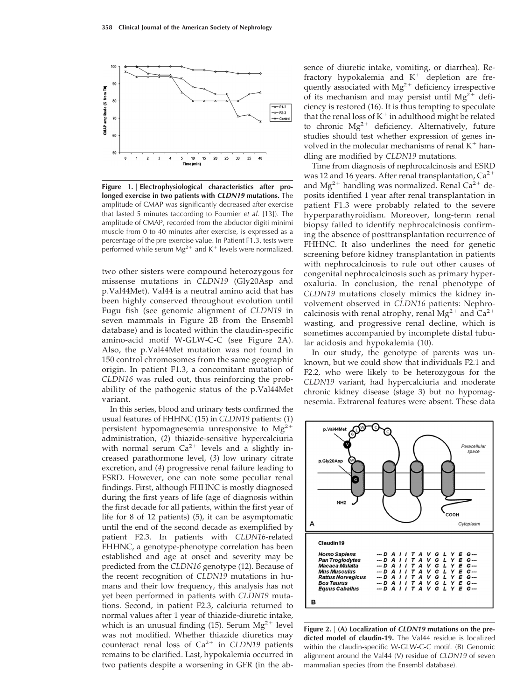

**Figure 1.** | **Electrophysiological characteristics after prolonged exercise in two patients with** *CLDN19* **mutations.** The amplitude of CMAP was significantly decreased after exercise that lasted 5 minutes (according to Fournier *et al*. [13]). The amplitude of CMAP, recorded from the abductor digiti minimi muscle from 0 to 40 minutes after exercise, is expressed as a percentage of the pre-exercise value. In Patient F1.3, tests were performed while serum  $Mg^{2+}$  and K<sup>+</sup> levels were normalized.

two other sisters were compound heterozygous for missense mutations in *CLDN19* (Gly20Asp and p.Val44Met). Val44 is a neutral amino acid that has been highly conserved throughout evolution until Fugu fish (see genomic alignment of *CLDN19* in seven mammals in Figure 2B from the Ensembl database) and is located within the claudin-specific amino-acid motif W-GLW-C-C (see Figure 2A). Also, the p.Val44Met mutation was not found in 150 control chromosomes from the same geographic origin. In patient F1.3, a concomitant mutation of *CLDN16* was ruled out, thus reinforcing the probability of the pathogenic status of the p.Val44Met variant.

In this series, blood and urinary tests confirmed the usual features of FHHNC (15) in *CLDN19* patients: (*1*) persistent hypomagnesemia unresponsive to  $Mg<sup>2</sup>$ administration, (*2*) thiazide-sensitive hypercalciuria with normal serum  $Ca^{2+}$  levels and a slightly increased parathormone level, (*3*) low urinary citrate excretion, and (*4*) progressive renal failure leading to ESRD. However, one can note some peculiar renal findings. First, although FHHNC is mostly diagnosed during the first years of life (age of diagnosis within the first decade for all patients, within the first year of life for 8 of 12 patients) (5), it can be asymptomatic until the end of the second decade as exemplified by patient F2.3. In patients with *CLDN16*-related FHHNC, a genotype-phenotype correlation has been established and age at onset and severity may be predicted from the *CLDN16* genotype (12). Because of the recent recognition of *CLDN19* mutations in humans and their low frequency, this analysis has not yet been performed in patients with *CLDN19* mutations. Second, in patient F2.3, calciuria returned to normal values after 1 year of thiazide-diuretic intake, which is an unusual finding (15). Serum  $Mg^{2+}$  level was not modified. Whether thiazide diuretics may counteract renal loss of  $Ca^{2+}$  in *CLDN19* patients remains to be clarified. Last, hypokalemia occurred in two patients despite a worsening in GFR (in the absence of diuretic intake, vomiting, or diarrhea). Refractory hypokalemia and  $K^+$  depletion are frequently associated with  $Mg^{2+}$  deficiency irrespective of its mechanism and may persist until  $Mg^{2+}$  deficiency is restored (16). It is thus tempting to speculate that the renal loss of  $K^+$  in adulthood might be related to chronic  $Mg^{2+}$  deficiency. Alternatively, future studies should test whether expression of genes involved in the molecular mechanisms of renal  $K^+$  handling are modified by *CLDN19* mutations.

Time from diagnosis of nephrocalcinosis and ESRD was 12 and 16 years. After renal transplantation,  $Ca^{2+}$ and  $Mg^{2+}$  handling was normalized. Renal Ca<sup>2+</sup> deposits identified 1 year after renal transplantation in patient F1.3 were probably related to the severe hyperparathyroidism. Moreover, long-term renal biopsy failed to identify nephrocalcinosis confirming the absence of posttransplantation recurrence of FHHNC. It also underlines the need for genetic screening before kidney transplantation in patients with nephrocalcinosis to rule out other causes of congenital nephrocalcinosis such as primary hyperoxaluria. In conclusion, the renal phenotype of *CLDN19* mutations closely mimics the kidney involvement observed in *CLDN16* patients: Nephrocalcinosis with renal atrophy, renal  $Mg^{2+}$  and  $Ca^{2+}$ wasting, and progressive renal decline, which is sometimes accompanied by incomplete distal tubular acidosis and hypokalemia (10).

In our study, the genotype of parents was unknown, but we could show that individuals F2.1 and F2.2, who were likely to be heterozygous for the *CLDN19* variant, had hypercalciuria and moderate chronic kidney disease (stage 3) but no hypomagnesemia. Extrarenal features were absent. These data



**Figure 2.** | **(A) Localization of** *CLDN19* **mutations on the predicted model of claudin-19.** The Val44 residue is localized within the claudin-specific W-GLW-C-C motif. (B) Genomic alignment around the Val44 (V) residue of *CLDN19* of seven mammalian species (from the Ensembl database).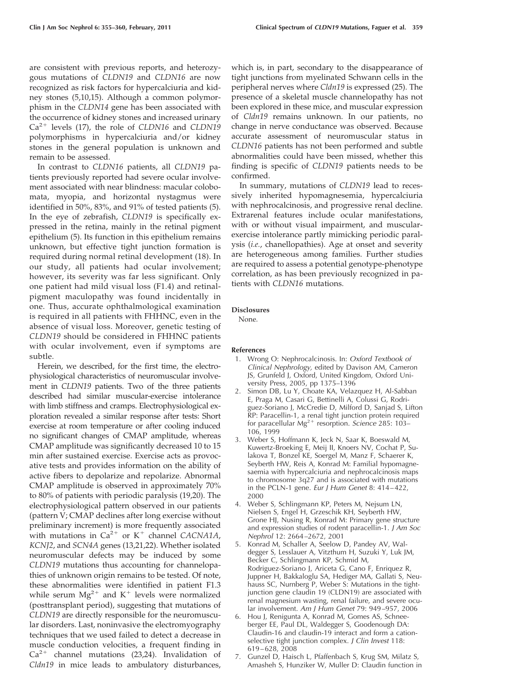are consistent with previous reports, and heterozygous mutations of *CLDN19* and *CLDN16* are now recognized as risk factors for hypercalciuria and kidney stones (5,10,15). Although a common polymorphism in the *CLDN14* gene has been associated with the occurrence of kidney stones and increased urinary Ca<sup>2+</sup> levels (17), the role of *CLDN16* and *CLDN19* polymorphisms in hypercalciuria and/or kidney stones in the general population is unknown and remain to be assessed.

In contrast to *CLDN16* patients, all *CLDN19* patients previously reported had severe ocular involvement associated with near blindness: macular colobomata, myopia, and horizontal nystagmus were identified in 50%, 83%, and 91% of tested patients (5). In the eye of zebrafish, *CLDN19* is specifically expressed in the retina, mainly in the retinal pigment epithelium (5). Its function in this epithelium remains unknown, but effective tight junction formation is required during normal retinal development (18). In our study, all patients had ocular involvement; however, its severity was far less significant. Only one patient had mild visual loss (F1.4) and retinalpigment maculopathy was found incidentally in one. Thus, accurate ophthalmological examination is required in all patients with FHHNC, even in the absence of visual loss. Moreover, genetic testing of *CLDN19* should be considered in FHHNC patients with ocular involvement, even if symptoms are subtle.

Herein, we described, for the first time, the electrophysiological characteristics of neuromuscular involvement in *CLDN19* patients. Two of the three patients described had similar muscular-exercise intolerance with limb stiffness and cramps. Electrophysiological exploration revealed a similar response after tests: Short exercise at room temperature or after cooling induced no significant changes of CMAP amplitude, whereas CMAP amplitude was significantly decreased 10 to 15 min after sustained exercise. Exercise acts as provocative tests and provides information on the ability of active fibers to depolarize and repolarize. Abnormal CMAP amplitude is observed in approximately 70% to 80% of patients with periodic paralysis (19,20). The electrophysiological pattern observed in our patients (pattern V; CMAP declines after long exercise without preliminary increment) is more frequently associated with mutations in  $Ca^{2+}$  or K<sup>+</sup> channel *CACNA1A*, *KCNJ2*, and *SCN4A* genes (13,21,22). Whether isolated neuromuscular defects may be induced by some *CLDN19* mutations thus accounting for channelopathies of unknown origin remains to be tested. Of note, these abnormalities were identified in patient F1.3 while serum  $Mg^{2+}$  and K<sup>+</sup> levels were normalized (posttransplant period), suggesting that mutations of *CLDN19* are directly responsible for the neuromuscular disorders. Last, noninvasive the electromyography techniques that we used failed to detect a decrease in muscle conduction velocities, a frequent finding in  $Ca^{2+}$  channel mutations (23,24). Invalidation of *Cldn19* in mice leads to ambulatory disturbances,

which is, in part, secondary to the disappearance of tight junctions from myelinated Schwann cells in the peripheral nerves where *Cldn19* is expressed (25). The presence of a skeletal muscle channelopathy has not been explored in these mice, and muscular expression of *Cldn19* remains unknown. In our patients, no change in nerve conductance was observed. Because accurate assessment of neuromuscular status in *CLDN16* patients has not been performed and subtle abnormalities could have been missed, whether this finding is specific of *CLDN19* patients needs to be confirmed.

In summary, mutations of *CLDN19* lead to recessively inherited hypomagnesemia, hypercalciuria with nephrocalcinosis, and progressive renal decline. Extrarenal features include ocular manifestations, with or without visual impairment, and muscularexercise intolerance partly mimicking periodic paralysis (*i.e.*, chanellopathies). Age at onset and severity are heterogeneous among families. Further studies are required to assess a potential genotype-phenotype correlation, as has been previously recognized in patients with *CLDN16* mutations.

### **Disclosures**

None.

#### **References**

- 1. Wrong O: Nephrocalcinosis. In: *Oxford Textbook of Clinical Nephrology,* edited by Davison AM, Cameron JS, Grunfeld J, Oxford, United Kingdom, Oxford University Press, 2005, pp 1375–1396
- 2. Simon DB, Lu Y, Choate KA, Velazquez H, Al-Sabban E, Praga M, Casari G, Bettinelli A, Colussi G, Rodriguez-Soriano J, McCredie D, Milford D, Sanjad S, Lifton RP: Paracellin-1, a renal tight junction protein required for paracellular Mg<sup>2+</sup> resorption. *Science* 285: 103-106, 1999
- 3. Weber S, Hoffmann K, Jeck N, Saar K, Boeswald M, Kuwertz-Broeking E, Meij II, Knoers NV, Cochat P, Sulakova T, Bonzel KE, Soergel M, Manz F, Schaerer K, Seyberth HW, Reis A, Konrad M: Familial hypomagnesaemia with hypercalciuria and nephrocalcinosis maps to chromosome 3q27 and is associated with mutations in the PCLN-1 gene. *Eur J Hum Genet* 8: 414 – 422, 2000
- 4. Weber S, Schlingmann KP, Peters M, Nejsum LN, Nielsen S, Engel H, Grzeschik KH, Seyberth HW, Grone HJ, Nusing R, Konrad M: Primary gene structure and expression studies of rodent paracellin-1. *J Am Soc Nephrol* 12: 2664 –2672, 2001
- 5. Konrad M, Schaller A, Seelow D, Pandey AV, Waldegger S, Lesslauer A, Vitzthum H, Suzuki Y, Luk JM, Becker C, Schlingmann KP, Schmid M, Rodriguez-Soriano J, Ariceta G, Cano F, Enriquez R, Juppner H, Bakkaloglu SA, Hediger MA, Gallati S, Neuhauss SC, Nurnberg P, Weber S: Mutations in the tightjunction gene claudin 19 (CLDN19) are associated with renal magnesium wasting, renal failure, and severe ocular involvement. *Am J Hum Genet* 79: 949 –957, 2006
- 6. Hou J, Renigunta A, Konrad M, Gomes AS, Schneeberger EE, Paul DL, Waldegger S, Goodenough DA: Claudin-16 and claudin-19 interact and form a cationselective tight junction complex. *J Clin Invest* 118: 619 – 628, 2008
- 7. Gunzel D, Haisch L, Pfaffenbach S, Krug SM, Milatz S, Amasheh S, Hunziker W, Muller D: Claudin function in